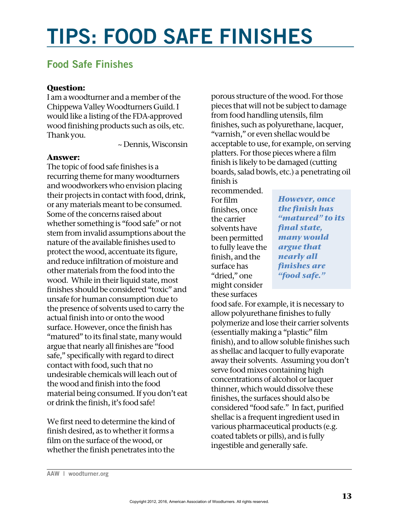## **TIPS: FOOD SAFE FINISHES**

## **Food Safe Finishes**

## **Question:**

I am a woodturner and a member of the Chippewa Valley Woodturners Guild.I would like a listing of the FDA-approved wood finishing products such as oils, etc. Thank you.

~ Dennis, Wisconsin

## **Answer:**

The topic of food safe finishes is a recurring theme for many woodturners and woodworkers who envision placing their projects in contact with food, drink, or any materials meant to be consumed. Some of the concerns raised about whether something is "food safe" or not stem from invalid assumptions about the nature of the available finishes used to protect the wood, accentuate its figure, and reduce infiltration of moisture and other materials from the food into the wood. While in their liquid state, most finishes should be considered "toxic" and unsafe for human consumption due to the presence of solvents used to carry the actual finish into or onto the wood surface. However, once the finish has "matured" to its final state, many would argue that nearly all finishes are "food safe," specifically with regard to direct contact with food, such that no undesirable chemicals will leach out of the wood and finish into the food material being consumed. If you don't eat or drink the finish, it's food safe!

We first need to determine the kind of finish desired, as to whether it forms a film on the surface of the wood, or whether the finish penetrates into the

porous structure of the wood. For those pieces that will not be subject to damage from food handling utensils, film finishes, such as polyurethane, lacquer, "varnish," or even shellac would be acceptable to use, for example, on serving platters. For those pieces where a film finish is likely to be damaged (cutting boards, salad bowls, etc.) a penetrating oil finish is

recommended. For film finishes, once the carrier solvents have been permitted to fully leave the finish, and the surface has "dried," one might consider these surfaces

*However, once the finish has "matured" to its final state, many would argue that nearly all finishes are "food safe."*

food safe. For example, it is necessary to allow polyurethane finishes to fully polymerize and lose their carrier solvents (essentially making a "plastic" film finish), and to allow soluble finishes such as shellac and lacquer to fully evaporate away their solvents. Assuming you don't serve food mixes containing high concentrations of alcohol or lacquer thinner, which would dissolve these finishes, the surfaces should also be considered "food safe." In fact, purified shellac is a frequent ingredient used in various pharmaceutical products (e.g. coated tablets or pills), and is fully ingestible and generally safe.